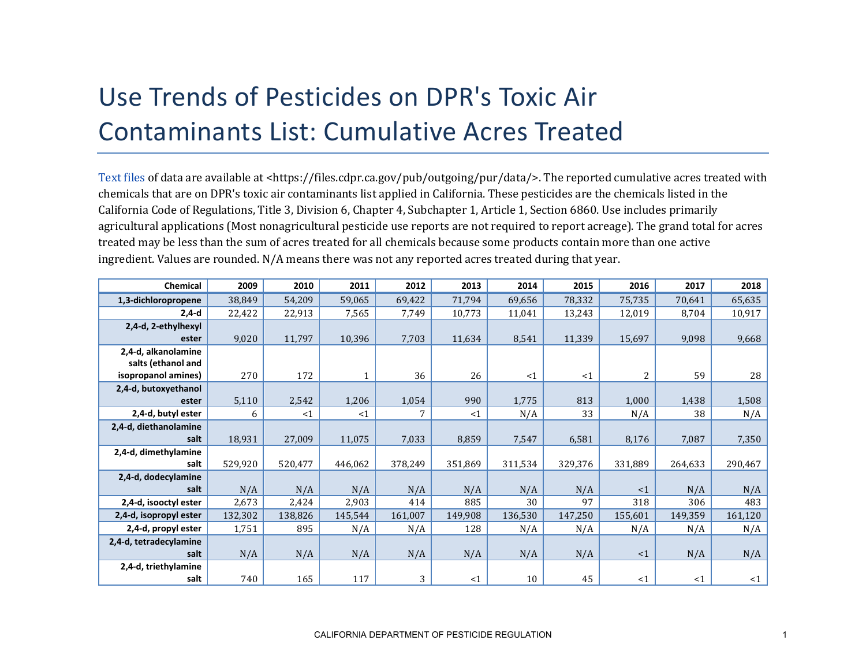## Use Trends of Pesticides on DPR's Toxic Air Contaminants List: Cumulative Acres Treated

[Text files](https://files.cdpr.ca.gov/pub/outgoing/pur/data/) of data are available at <https://files.cdpr.ca.gov/pub/outgoing/pur/data/>. The reported cumulative acres treated with chemicals that are on DPR's toxic air contaminants list applied in California. These pesticides are the chemicals listed in the California Code of Regulations, Title 3, Division 6, Chapter 4, Subchapter 1, Article 1, Section 6860. Use includes primarily agricultural applications (Most nonagricultural pesticide use reports are not required to report acreage). The grand total for acres treated may be less than the sum of acres treated for all chemicals because some products contain more than one active ingredient. Values are rounded. N/A means there was not any reported acres treated during that year.

| Chemical               | 2009    | 2010    | 2011    | 2012    | 2013    | 2014     | 2015     | 2016     | 2017     | 2018     |
|------------------------|---------|---------|---------|---------|---------|----------|----------|----------|----------|----------|
| 1,3-dichloropropene    | 38,849  | 54,209  | 59,065  | 69,422  | 71,794  | 69,656   | 78,332   | 75,735   | 70,641   | 65,635   |
| $2,4-d$                | 22,422  | 22,913  | 7,565   | 7,749   | 10,773  | 11,041   | 13,243   | 12,019   | 8,704    | 10,917   |
| 2,4-d, 2-ethylhexyl    |         |         |         |         |         |          |          |          |          |          |
| ester                  | 9,020   | 11,797  | 10,396  | 7,703   | 11,634  | 8,541    | 11,339   | 15,697   | 9,098    | 9,668    |
| 2,4-d, alkanolamine    |         |         |         |         |         |          |          |          |          |          |
| salts (ethanol and     |         |         |         |         |         |          |          |          |          |          |
| isopropanol amines)    | 270     | 172     |         | 36      | 26      | $\leq 1$ | $\leq 1$ | 2        | 59       | 28       |
| 2,4-d, butoxyethanol   |         |         |         |         |         |          |          |          |          |          |
| ester                  | 5,110   | 2,542   | 1,206   | 1,054   | 990     | 1,775    | 813      | 1,000    | 1,438    | 1,508    |
| 2,4-d, butyl ester     | 6       | <1      | $<$ 1   | 7       | <1      | N/A      | 33       | N/A      | 38       | N/A      |
| 2,4-d, diethanolamine  |         |         |         |         |         |          |          |          |          |          |
| salt                   | 18,931  | 27,009  | 11,075  | 7,033   | 8,859   | 7,547    | 6,581    | 8,176    | 7,087    | 7,350    |
| 2,4-d, dimethylamine   |         |         |         |         |         |          |          |          |          |          |
| salt                   | 529,920 | 520,477 | 446,062 | 378,249 | 351,869 | 311,534  | 329,376  | 331,889  | 264,633  | 290,467  |
| 2,4-d, dodecylamine    |         |         |         |         |         |          |          |          |          |          |
| salt                   | N/A     | N/A     | N/A     | N/A     | N/A     | N/A      | N/A      | $\leq 1$ | N/A      | N/A      |
| 2,4-d, isooctyl ester  | 2,673   | 2,424   | 2,903   | 414     | 885     | 30       | 97       | 318      | 306      | 483      |
| 2,4-d, isopropyl ester | 132,302 | 138,826 | 145,544 | 161,007 | 149,908 | 136,530  | 147,250  | 155,601  | 149,359  | 161,120  |
| 2,4-d, propyl ester    | 1,751   | 895     | N/A     | N/A     | 128     | N/A      | N/A      | N/A      | N/A      | N/A      |
| 2,4-d, tetradecylamine |         |         |         |         |         |          |          |          |          |          |
| salt                   | N/A     | N/A     | N/A     | N/A     | N/A     | N/A      | N/A      | $\leq$ 1 | N/A      | N/A      |
| 2,4-d, triethylamine   |         |         |         |         |         |          |          |          |          |          |
| salt                   | 740     | 165     | 117     | 3       | <1      | 10       | 45       | <1       | $\leq 1$ | $\leq 1$ |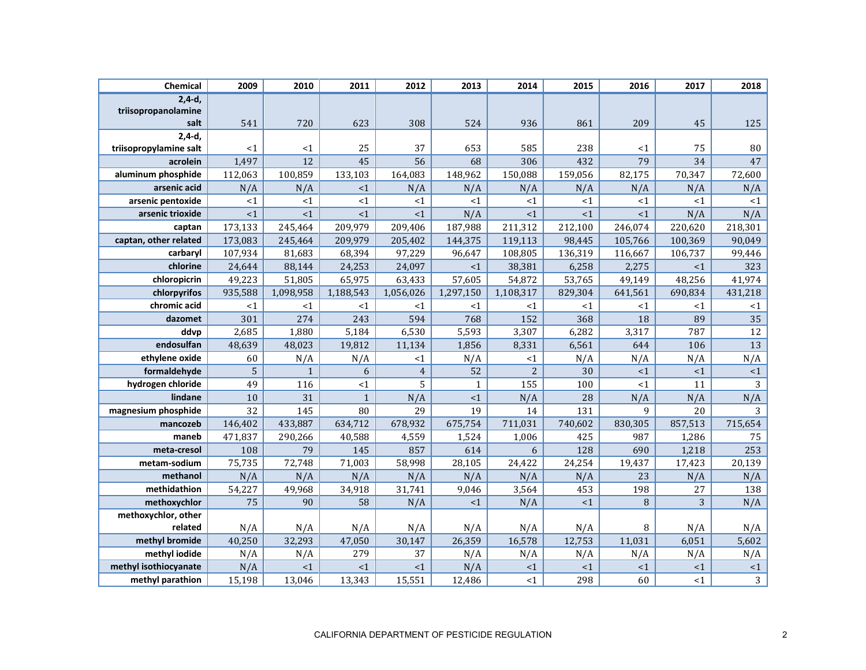| Chemical                    | 2009           | 2010         | 2011         | 2012           | 2013         | 2014           | 2015    | 2016    | 2017    | 2018           |
|-----------------------------|----------------|--------------|--------------|----------------|--------------|----------------|---------|---------|---------|----------------|
| $2,4-d,$                    |                |              |              |                |              |                |         |         |         |                |
| triisopropanolamine<br>salt | 541            | 720          | 623          | 308            | 524          | 936            | 861     | 209     | 45      | 125            |
| $2,4-d,$                    |                |              |              |                |              |                |         |         |         |                |
| triisopropylamine salt      | <1             | <1           | 25           | 37             | 653          | 585            | 238     | $<$ 1   | 75      | 80             |
| acrolein                    | 1,497          | 12           | 45           | 56             | 68           | 306            | 432     | 79      | 34      | 47             |
| aluminum phosphide          | 112,063        | 100,859      | 133,103      | 164,083        | 148,962      | 150,088        | 159,056 | 82,175  | 70,347  | 72,600         |
| arsenic acid                | N/A            | N/A          | <1           | N/A            | N/A          | N/A            | N/A     | N/A     | N/A     | N/A            |
| arsenic pentoxide           | <1             | ${<}1$       | <1           | <1             | <1           | <1             | <1      | <1      | <1      | ${<}1$         |
| arsenic trioxide            | <1             | <1           | <1           | <1             | N/A          | <1             | <1      | <1      | N/A     | N/A            |
| captan                      | 173,133        | 245,464      | 209,979      | 209,406        | 187,988      | 211,312        | 212,100 | 246,074 | 220,620 | 218,301        |
| captan, other related       | 173,083        | 245,464      | 209,979      | 205,402        | 144,375      | 119,113        | 98,445  | 105,766 | 100,369 | 90,049         |
| carbaryl                    | 107,934        | 81,683       | 68,394       | 97,229         | 96,647       | 108,805        | 136,319 | 116,667 | 106,737 | 99,446         |
| chlorine                    | 24,644         | 88,144       | 24,253       | 24,097         | <1           | 38,381         | 6,258   | 2,275   | <1      | 323            |
| chloropicrin                | 49,223         | 51,805       | 65,975       | 63,433         | 57,605       | 54,872         | 53,765  | 49,149  | 48,256  | 41,974         |
| chlorpyrifos                | 935,588        | 1,098,958    | 1,188,543    | 1,056,026      | 1,297,150    | 1,108,317      | 829,304 | 641,561 | 690,834 | 431,218        |
| chromic acid                | <1             | $<$ 1        | <1           | $<$ 1          | $<$ 1        | <1             | $<$ 1   | <1      | <1      | <1             |
| dazomet                     | 301            | 274          | 243          | 594            | 768          | 152            | 368     | 18      | 89      | 35             |
| ddvp                        | 2,685          | 1,880        | 5,184        | 6,530          | 5,593        | 3,307          | 6,282   | 3,317   | 787     | 12             |
| endosulfan                  | 48,639         | 48,023       | 19,812       | 11,134         | 1,856        | 8,331          | 6,561   | 644     | 106     | 13             |
| ethylene oxide              | 60             | N/A          | N/A          | <1             | N/A          | <1             | N/A     | N/A     | N/A     | N/A            |
| formaldehyde                | $\overline{5}$ | $\mathbf{1}$ | 6            | $\overline{4}$ | 52           | $\overline{2}$ | 30      | <1      | <1      | <1             |
| hydrogen chloride           | 49             | 116          | <1           | 5              | $\mathbf{1}$ | 155            | 100     | <1      | 11      | 3              |
| lindane                     | 10             | 31           | $\mathbf{1}$ | N/A            | <1           | N/A            | 28      | N/A     | N/A     | N/A            |
| magnesium phosphide         | 32             | 145          | 80           | 29             | 19           | 14             | 131     | 9       | 20      | 3              |
| mancozeb                    | 146,402        | 433,887      | 634,712      | 678,932        | 675,754      | 711,031        | 740,602 | 830,305 | 857,513 | 715,654        |
| maneb                       | 471,837        | 290,266      | 40,588       | 4,559          | 1,524        | 1,006          | 425     | 987     | 1,286   | 75             |
| meta-cresol                 | 108            | 79           | 145          | 857            | 614          | 6              | 128     | 690     | 1,218   | 253            |
| metam-sodium                | 75,735         | 72,748       | 71,003       | 58,998         | 28,105       | 24,422         | 24,254  | 19,437  | 17,423  | 20,139         |
| methanol                    | N/A            | N/A          | N/A          | N/A            | N/A          | N/A            | N/A     | 23      | N/A     | N/A            |
| methidathion                | 54,227         | 49,968       | 34,918       | 31,741         | 9,046        | 3,564          | 453     | 198     | 27      | 138            |
| methoxychlor                | 75             | 90           | 58           | N/A            | <1           | N/A            | <1      | 8       | 3       | N/A            |
| methoxychlor, other         |                |              |              |                |              |                |         |         |         |                |
| related                     | N/A            | N/A          | N/A          | N/A            | N/A          | N/A            | N/A     | 8       | N/A     | N/A            |
| methyl bromide              | 40,250         | 32,293       | 47,050       | 30,147         | 26,359       | 16,578         | 12,753  | 11,031  | 6,051   | 5,602          |
| methyl iodide               | N/A            | N/A          | 279          | 37             | N/A          | N/A            | N/A     | N/A     | N/A     | N/A            |
| methyl isothiocyanate       | N/A            | <1           | <1           | <1             | N/A          | $<1\,$         | <1      | <1      | <1      | ${<}1$         |
| methyl parathion            | 15,198         | 13,046       | 13,343       | 15,551         | 12,486       | <1             | 298     | 60      | <1      | $\overline{3}$ |